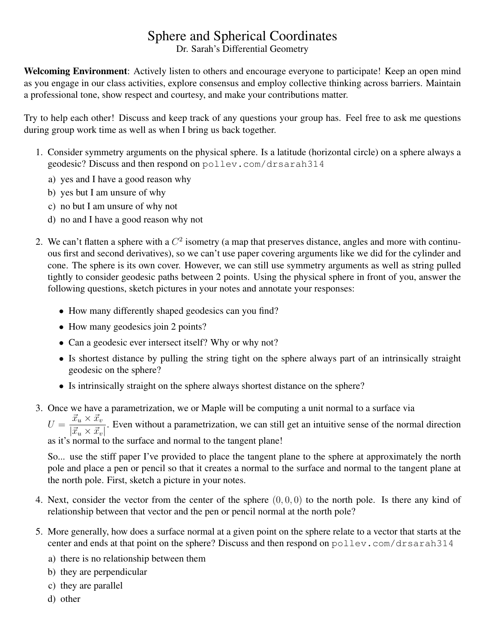## Sphere and Spherical Coordinates

Dr. Sarah's Differential Geometry

Welcoming Environment: Actively listen to others and encourage everyone to participate! Keep an open mind as you engage in our class activities, explore consensus and employ collective thinking across barriers. Maintain a professional tone, show respect and courtesy, and make your contributions matter.

Try to help each other! Discuss and keep track of any questions your group has. Feel free to ask me questions during group work time as well as when I bring us back together.

- 1. Consider symmetry arguments on the physical sphere. Is a latitude (horizontal circle) on a sphere always a geodesic? Discuss and then respond on pollev.com/drsarah314
	- a) yes and I have a good reason why
	- b) yes but I am unsure of why
	- c) no but I am unsure of why not
	- d) no and I have a good reason why not
- 2. We can't flatten a sphere with a  $C^2$  isometry (a map that preserves distance, angles and more with continuous first and second derivatives), so we can't use paper covering arguments like we did for the cylinder and cone. The sphere is its own cover. However, we can still use symmetry arguments as well as string pulled tightly to consider geodesic paths between 2 points. Using the physical sphere in front of you, answer the following questions, sketch pictures in your notes and annotate your responses:
	- How many differently shaped geodesics can you find?
	- How many geodesics join 2 points?
	- Can a geodesic ever intersect itself? Why or why not?
	- Is shortest distance by pulling the string tight on the sphere always part of an intrinsically straight geodesic on the sphere?
	- Is intrinsically straight on the sphere always shortest distance on the sphere?
- 3. Once we have a parametrization, we or Maple will be computing a unit normal to a surface via

 $U = \frac{\vec{x}_u \times \vec{x}_v}{\sqrt{2\pi} \sqrt{2\pi}}$  $\frac{u}{\partial x_i}$ . Even without a parametrization, we can still get an intuitive sense of the normal direction  $|\vec{x}_u \times \vec{x}_v|$ . as it's normal to the surface and normal to the tangent plane!

So... use the stiff paper I've provided to place the tangent plane to the sphere at approximately the north pole and place a pen or pencil so that it creates a normal to the surface and normal to the tangent plane at the north pole. First, sketch a picture in your notes.

- 4. Next, consider the vector from the center of the sphere  $(0, 0, 0)$  to the north pole. Is there any kind of relationship between that vector and the pen or pencil normal at the north pole?
- 5. More generally, how does a surface normal at a given point on the sphere relate to a vector that starts at the center and ends at that point on the sphere? Discuss and then respond on polley.com/drsarah314
	- a) there is no relationship between them
	- b) they are perpendicular
	- c) they are parallel
	- d) other